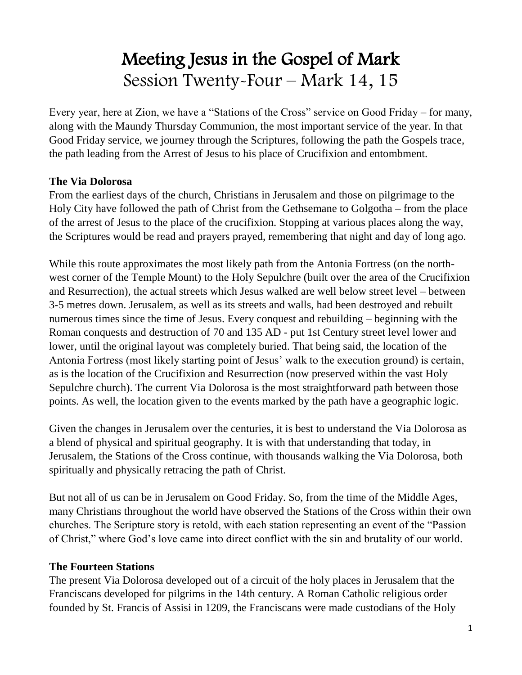# Meeting Jesus in the Gospel of Mark Session Twenty-Four – Mark 14, 15

Every year, here at Zion, we have a "Stations of the Cross" service on Good Friday – for many, along with the Maundy Thursday Communion, the most important service of the year. In that Good Friday service, we journey through the Scriptures, following the path the Gospels trace, the path leading from the Arrest of Jesus to his place of Crucifixion and entombment.

#### **The Via Dolorosa**

From the earliest days of the church, Christians in Jerusalem and those on pilgrimage to the Holy City have followed the path of Christ from the Gethsemane to Golgotha – from the place of the arrest of Jesus to the place of the crucifixion. Stopping at various places along the way, the Scriptures would be read and prayers prayed, remembering that night and day of long ago.

While this route approximates the most likely path from the Antonia Fortress (on the northwest corner of the Temple Mount) to the Holy Sepulchre (built over the area of the Crucifixion and Resurrection), the actual streets which Jesus walked are well below street level – between 3-5 metres down. Jerusalem, as well as its streets and walls, had been destroyed and rebuilt numerous times since the time of Jesus. Every conquest and rebuilding – beginning with the Roman conquests and destruction of 70 and 135 AD - put 1st Century street level lower and lower, until the original layout was completely buried. That being said, the location of the Antonia Fortress (most likely starting point of Jesus' walk to the execution ground) is certain, as is the location of the Crucifixion and Resurrection (now preserved within the vast Holy Sepulchre church). The current Via Dolorosa is the most straightforward path between those points. As well, the location given to the events marked by the path have a geographic logic.

Given the changes in Jerusalem over the centuries, it is best to understand the Via Dolorosa as a blend of physical and spiritual geography. It is with that understanding that today, in Jerusalem, the Stations of the Cross continue, with thousands walking the Via Dolorosa, both spiritually and physically retracing the path of Christ.

But not all of us can be in Jerusalem on Good Friday. So, from the time of the Middle Ages, many Christians throughout the world have observed the Stations of the Cross within their own churches. The Scripture story is retold, with each station representing an event of the "Passion of Christ," where God's love came into direct conflict with the sin and brutality of our world.

#### **The Fourteen Stations**

The present Via Dolorosa developed out of a circuit of the holy places in Jerusalem that the Franciscans developed for pilgrims in the 14th century. A Roman Catholic religious order founded by St. Francis of Assisi in 1209, the Franciscans were made custodians of the Holy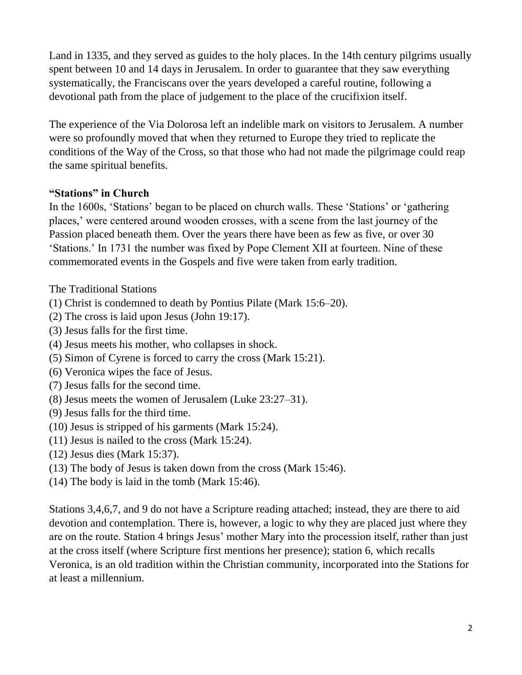Land in 1335, and they served as guides to the holy places. In the 14th century pilgrims usually spent between 10 and 14 days in Jerusalem. In order to guarantee that they saw everything systematically, the Franciscans over the years developed a careful routine, following a devotional path from the place of judgement to the place of the crucifixion itself.

The experience of the Via Dolorosa left an indelible mark on visitors to Jerusalem. A number were so profoundly moved that when they returned to Europe they tried to replicate the conditions of the Way of the Cross, so that those who had not made the pilgrimage could reap the same spiritual benefits.

#### **"Stations" in Church**

In the 1600s, 'Stations' began to be placed on church walls. These 'Stations' or 'gathering places,' were centered around wooden crosses, with a scene from the last journey of the Passion placed beneath them. Over the years there have been as few as five, or over 30 'Stations.' In 1731 the number was fixed by Pope Clement XII at fourteen. Nine of these commemorated events in the Gospels and five were taken from early tradition.

The Traditional Stations

- (1) Christ is condemned to death by Pontius Pilate (Mark 15:6–20).
- (2) The cross is laid upon Jesus (John 19:17).
- (3) Jesus falls for the first time.
- (4) Jesus meets his mother, who collapses in shock.
- (5) Simon of Cyrene is forced to carry the cross (Mark 15:21).
- (6) Veronica wipes the face of Jesus.
- (7) Jesus falls for the second time.
- (8) Jesus meets the women of Jerusalem (Luke 23:27–31).
- (9) Jesus falls for the third time.
- (10) Jesus is stripped of his garments (Mark 15:24).
- (11) Jesus is nailed to the cross (Mark 15:24).
- (12) Jesus dies (Mark 15:37).
- (13) The body of Jesus is taken down from the cross (Mark 15:46).
- (14) The body is laid in the tomb (Mark 15:46).

Stations 3,4,6,7, and 9 do not have a Scripture reading attached; instead, they are there to aid devotion and contemplation. There is, however, a logic to why they are placed just where they are on the route. Station 4 brings Jesus' mother Mary into the procession itself, rather than just at the cross itself (where Scripture first mentions her presence); station 6, which recalls Veronica, is an old tradition within the Christian community, incorporated into the Stations for at least a millennium.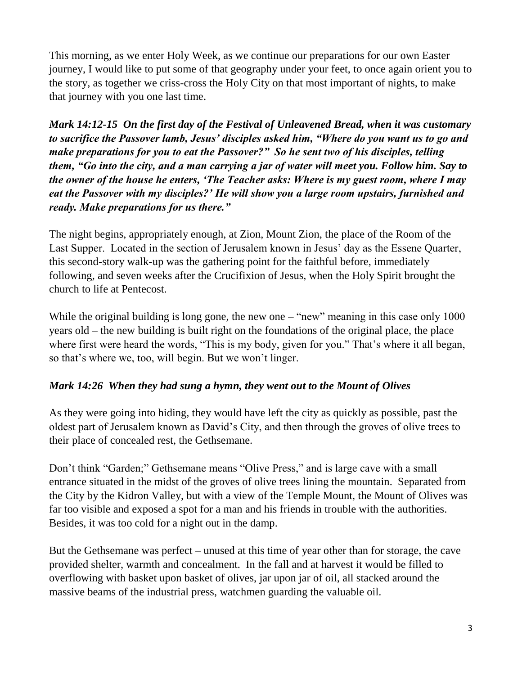This morning, as we enter Holy Week, as we continue our preparations for our own Easter journey, I would like to put some of that geography under your feet, to once again orient you to the story, as together we criss-cross the Holy City on that most important of nights, to make that journey with you one last time.

*Mark 14:12-15 On the first day of the Festival of Unleavened Bread, when it was customary to sacrifice the Passover lamb, Jesus' disciples asked him, "Where do you want us to go and make preparations for you to eat the Passover?" So he sent two of his disciples, telling them, "Go into the city, and a man carrying a jar of water will meet you. Follow him. Say to the owner of the house he enters, 'The Teacher asks: Where is my guest room, where I may eat the Passover with my disciples?' He will show you a large room upstairs, furnished and ready. Make preparations for us there."* 

The night begins, appropriately enough, at Zion, Mount Zion, the place of the Room of the Last Supper. Located in the section of Jerusalem known in Jesus' day as the Essene Quarter, this second-story walk-up was the gathering point for the faithful before, immediately following, and seven weeks after the Crucifixion of Jesus, when the Holy Spirit brought the church to life at Pentecost.

While the original building is long gone, the new one – "new" meaning in this case only 1000 years old – the new building is built right on the foundations of the original place, the place where first were heard the words, "This is my body, given for you." That's where it all began, so that's where we, too, will begin. But we won't linger.

#### *Mark 14:26 When they had sung a hymn, they went out to the Mount of Olives*

As they were going into hiding, they would have left the city as quickly as possible, past the oldest part of Jerusalem known as David's City, and then through the groves of olive trees to their place of concealed rest, the Gethsemane.

Don't think "Garden;" Gethsemane means "Olive Press," and is large cave with a small entrance situated in the midst of the groves of olive trees lining the mountain. Separated from the City by the Kidron Valley, but with a view of the Temple Mount, the Mount of Olives was far too visible and exposed a spot for a man and his friends in trouble with the authorities. Besides, it was too cold for a night out in the damp.

But the Gethsemane was perfect – unused at this time of year other than for storage, the cave provided shelter, warmth and concealment. In the fall and at harvest it would be filled to overflowing with basket upon basket of olives, jar upon jar of oil, all stacked around the massive beams of the industrial press, watchmen guarding the valuable oil.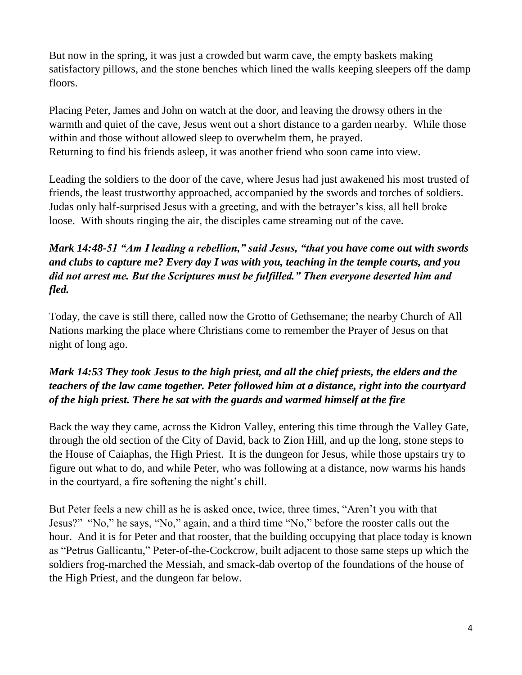But now in the spring, it was just a crowded but warm cave, the empty baskets making satisfactory pillows, and the stone benches which lined the walls keeping sleepers off the damp floors.

Placing Peter, James and John on watch at the door, and leaving the drowsy others in the warmth and quiet of the cave, Jesus went out a short distance to a garden nearby. While those within and those without allowed sleep to overwhelm them, he prayed. Returning to find his friends asleep, it was another friend who soon came into view.

Leading the soldiers to the door of the cave, where Jesus had just awakened his most trusted of friends, the least trustworthy approached, accompanied by the swords and torches of soldiers. Judas only half-surprised Jesus with a greeting, and with the betrayer's kiss, all hell broke loose. With shouts ringing the air, the disciples came streaming out of the cave.

## *Mark 14:48-51 "Am I leading a rebellion," said Jesus, "that you have come out with swords and clubs to capture me? Every day I was with you, teaching in the temple courts, and you did not arrest me. But the Scriptures must be fulfilled." Then everyone deserted him and fled.*

Today, the cave is still there, called now the Grotto of Gethsemane; the nearby Church of All Nations marking the place where Christians come to remember the Prayer of Jesus on that night of long ago.

## *Mark 14:53 They took Jesus to the high priest, and all the chief priests, the elders and the teachers of the law came together. Peter followed him at a distance, right into the courtyard of the high priest. There he sat with the guards and warmed himself at the fire*

Back the way they came, across the Kidron Valley, entering this time through the Valley Gate, through the old section of the City of David, back to Zion Hill, and up the long, stone steps to the House of Caiaphas, the High Priest. It is the dungeon for Jesus, while those upstairs try to figure out what to do, and while Peter, who was following at a distance, now warms his hands in the courtyard, a fire softening the night's chill.

But Peter feels a new chill as he is asked once, twice, three times, "Aren't you with that Jesus?" "No," he says, "No," again, and a third time "No," before the rooster calls out the hour. And it is for Peter and that rooster, that the building occupying that place today is known as "Petrus Gallicantu," Peter-of-the-Cockcrow, built adjacent to those same steps up which the soldiers frog-marched the Messiah, and smack-dab overtop of the foundations of the house of the High Priest, and the dungeon far below.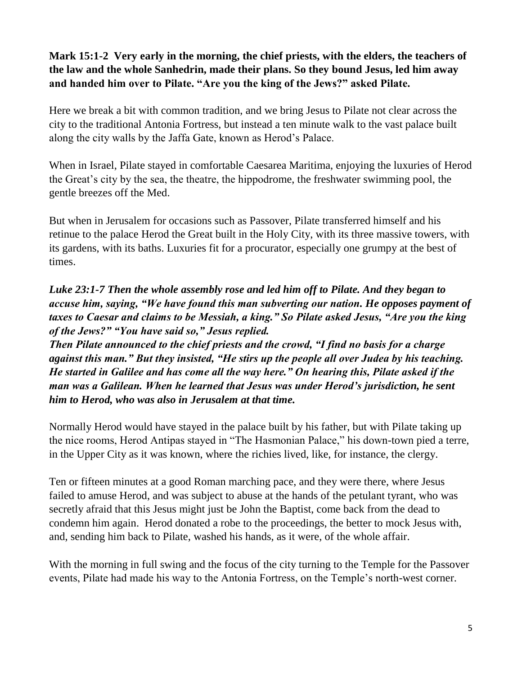## **Mark 15:1-2 Very early in the morning, the chief priests, with the elders, the teachers of the law and the whole Sanhedrin, made their plans. So they bound Jesus, led him away and handed him over to Pilate. "Are you the king of the Jews?" asked Pilate.**

Here we break a bit with common tradition, and we bring Jesus to Pilate not clear across the city to the traditional Antonia Fortress, but instead a ten minute walk to the vast palace built along the city walls by the Jaffa Gate, known as Herod's Palace.

When in Israel, Pilate stayed in comfortable Caesarea Maritima, enjoying the luxuries of Herod the Great's city by the sea, the theatre, the hippodrome, the freshwater swimming pool, the gentle breezes off the Med.

But when in Jerusalem for occasions such as Passover, Pilate transferred himself and his retinue to the palace Herod the Great built in the Holy City, with its three massive towers, with its gardens, with its baths. Luxuries fit for a procurator, especially one grumpy at the best of times.

## *Luke 23:1-7 Then the whole assembly rose and led him off to Pilate. And they began to accuse him, saying, "We have found this man subverting our nation. He opposes payment of taxes to Caesar and claims to be Messiah, a king." So Pilate asked Jesus, "Are you the king of the Jews?" "You have said so," Jesus replied.*

*Then Pilate announced to the chief priests and the crowd, "I find no basis for a charge against this man." But they insisted, "He stirs up the people all over Judea by his teaching. He started in Galilee and has come all the way here." On hearing this, Pilate asked if the man was a Galilean. When he learned that Jesus was under Herod's jurisdiction, he sent him to Herod, who was also in Jerusalem at that time.* 

Normally Herod would have stayed in the palace built by his father, but with Pilate taking up the nice rooms, Herod Antipas stayed in "The Hasmonian Palace," his down-town pied a terre, in the Upper City as it was known, where the richies lived, like, for instance, the clergy.

Ten or fifteen minutes at a good Roman marching pace, and they were there, where Jesus failed to amuse Herod, and was subject to abuse at the hands of the petulant tyrant, who was secretly afraid that this Jesus might just be John the Baptist, come back from the dead to condemn him again. Herod donated a robe to the proceedings, the better to mock Jesus with, and, sending him back to Pilate, washed his hands, as it were, of the whole affair.

With the morning in full swing and the focus of the city turning to the Temple for the Passover events, Pilate had made his way to the Antonia Fortress, on the Temple's north-west corner.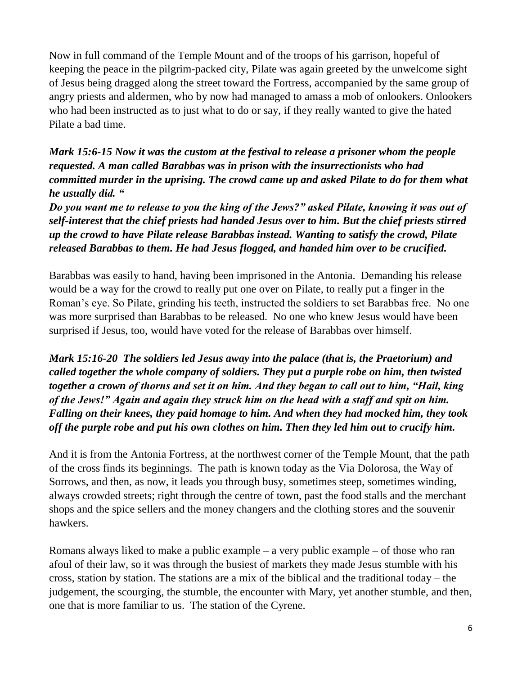Now in full command of the Temple Mount and of the troops of his garrison, hopeful of keeping the peace in the pilgrim-packed city, Pilate was again greeted by the unwelcome sight of Jesus being dragged along the street toward the Fortress, accompanied by the same group of angry priests and aldermen, who by now had managed to amass a mob of onlookers. Onlookers who had been instructed as to just what to do or say, if they really wanted to give the hated Pilate a bad time.

*Mark 15:6-15 Now it was the custom at the festival to release a prisoner whom the people requested. A man called Barabbas was in prison with the insurrectionists who had committed murder in the uprising. The crowd came up and asked Pilate to do for them what he usually did. "*

*Do you want me to release to you the king of the Jews?" asked Pilate, knowing it was out of self-interest that the chief priests had handed Jesus over to him. But the chief priests stirred up the crowd to have Pilate release Barabbas instead. Wanting to satisfy the crowd, Pilate released Barabbas to them. He had Jesus flogged, and handed him over to be crucified.* 

Barabbas was easily to hand, having been imprisoned in the Antonia. Demanding his release would be a way for the crowd to really put one over on Pilate, to really put a finger in the Roman's eye. So Pilate, grinding his teeth, instructed the soldiers to set Barabbas free. No one was more surprised than Barabbas to be released. No one who knew Jesus would have been surprised if Jesus, too, would have voted for the release of Barabbas over himself.

*Mark 15:16-20 The soldiers led Jesus away into the palace (that is, the Praetorium) and called together the whole company of soldiers. They put a purple robe on him, then twisted together a crown of thorns and set it on him. And they began to call out to him, "Hail, king of the Jews!" Again and again they struck him on the head with a staff and spit on him. Falling on their knees, they paid homage to him. And when they had mocked him, they took off the purple robe and put his own clothes on him. Then they led him out to crucify him.* 

And it is from the Antonia Fortress, at the northwest corner of the Temple Mount, that the path of the cross finds its beginnings. The path is known today as the Via Dolorosa, the Way of Sorrows, and then, as now, it leads you through busy, sometimes steep, sometimes winding, always crowded streets; right through the centre of town, past the food stalls and the merchant shops and the spice sellers and the money changers and the clothing stores and the souvenir hawkers.

Romans always liked to make a public example – a very public example – of those who ran afoul of their law, so it was through the busiest of markets they made Jesus stumble with his cross, station by station. The stations are a mix of the biblical and the traditional today – the judgement, the scourging, the stumble, the encounter with Mary, yet another stumble, and then, one that is more familiar to us. The station of the Cyrene.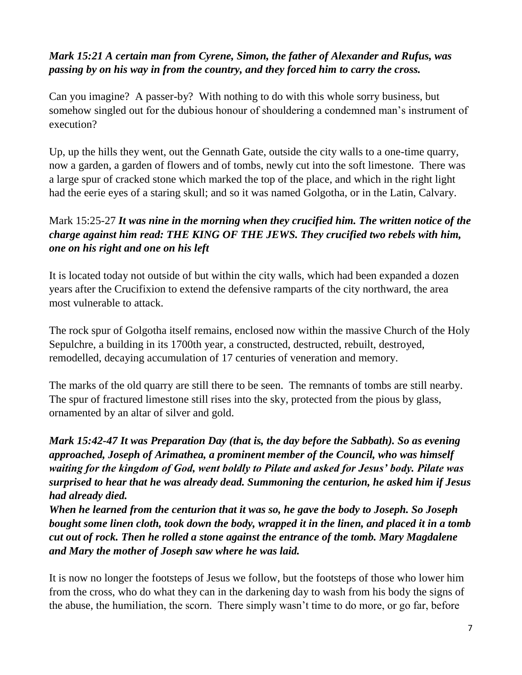#### *Mark 15:21 A certain man from Cyrene, Simon, the father of Alexander and Rufus, was passing by on his way in from the country, and they forced him to carry the cross.*

Can you imagine? A passer-by? With nothing to do with this whole sorry business, but somehow singled out for the dubious honour of shouldering a condemned man's instrument of execution?

Up, up the hills they went, out the Gennath Gate, outside the city walls to a one-time quarry, now a garden, a garden of flowers and of tombs, newly cut into the soft limestone. There was a large spur of cracked stone which marked the top of the place, and which in the right light had the eerie eyes of a staring skull; and so it was named Golgotha, or in the Latin, Calvary.

# Mark 15:25-27 *It was nine in the morning when they crucified him. The written notice of the charge against him read: THE KING OF THE JEWS. They crucified two rebels with him, one on his right and one on his left*

It is located today not outside of but within the city walls, which had been expanded a dozen years after the Crucifixion to extend the defensive ramparts of the city northward, the area most vulnerable to attack.

The rock spur of Golgotha itself remains, enclosed now within the massive Church of the Holy Sepulchre, a building in its 1700th year, a constructed, destructed, rebuilt, destroyed, remodelled, decaying accumulation of 17 centuries of veneration and memory.

The marks of the old quarry are still there to be seen. The remnants of tombs are still nearby. The spur of fractured limestone still rises into the sky, protected from the pious by glass, ornamented by an altar of silver and gold.

*Mark 15:42-47 It was Preparation Day (that is, the day before the Sabbath). So as evening approached, Joseph of Arimathea, a prominent member of the Council, who was himself waiting for the kingdom of God, went boldly to Pilate and asked for Jesus' body. Pilate was surprised to hear that he was already dead. Summoning the centurion, he asked him if Jesus had already died.* 

*When he learned from the centurion that it was so, he gave the body to Joseph. So Joseph bought some linen cloth, took down the body, wrapped it in the linen, and placed it in a tomb cut out of rock. Then he rolled a stone against the entrance of the tomb. Mary Magdalene and Mary the mother of Joseph saw where he was laid.* 

It is now no longer the footsteps of Jesus we follow, but the footsteps of those who lower him from the cross, who do what they can in the darkening day to wash from his body the signs of the abuse, the humiliation, the scorn. There simply wasn't time to do more, or go far, before